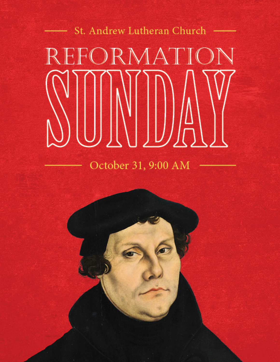# St. Andrew Lutheran Church REFORMATION

October 31, 9:00 AM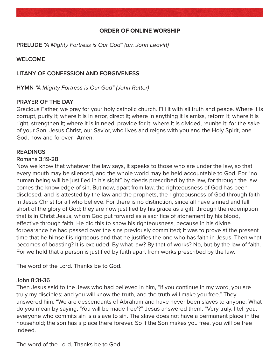# **ORDER OF ONLINE WORSHIP**

**PRELUDE** *"A Mighty Fortress is Our God" (arr. John Leavitt)* 

# **WELCOME**

# **LITANY OF CONFESSION AND FORGIVENESS**

**HYMN** *"A Mighty Fortress is Our God" (John Rutter)*

# **PRAYER OF THE DAY**

Gracious Father, we pray for your holy catholic church. Fill it with all truth and peace. Where it is corrupt, purify it; where it is in error, direct it; where in anything it is amiss, reform it; where it is right, strengthen it; where it is in need, provide for it; where it is divided, reunite it; for the sake of your Son, Jesus Christ, our Savior, who lives and reigns with you and the Holy Spirit, one God, now and forever. Amen.

# **READINGS**

# Romans 3:19-28

Now we know that whatever the law says, it speaks to those who are under the law, so that every mouth may be silenced, and the whole world may be held accountable to God. For "no human being will be justified in his sight" by deeds prescribed by the law, for through the law comes the knowledge of sin. But now, apart from law, the righteousness of God has been disclosed, and is attested by the law and the prophets, the righteousness of God through faith in Jesus Christ for all who believe. For there is no distinction, since all have sinned and fall short of the glory of God; they are now justified by his grace as a gift, through the redemption that is in Christ Jesus, whom God put forward as a sacrifice of atonement by his blood, effective through faith. He did this to show his righteousness, because in his divine forbearance he had passed over the sins previously committed; it was to prove at the present time that he himself is righteous and that he justifies the one who has faith in Jesus. Then what becomes of boasting? It is excluded. By what law? By that of works? No, but by the law of faith. For we hold that a person is justified by faith apart from works prescribed by the law.

The word of the Lord. Thanks be to God.

# John 8:31-36

Then Jesus said to the Jews who had believed in him, "If you continue in my word, you are truly my disciples; and you will know the truth, and the truth will make you free." They answered him, "We are descendants of Abraham and have never been slaves to anyone. What do you mean by saying, 'You will be made free'?" Jesus answered them, "Very truly, I tell you, everyone who commits sin is a slave to sin. The slave does not have a permanent place in the household; the son has a place there forever. So if the Son makes you free, you will be free indeed.

The word of the Lord. Thanks be to God.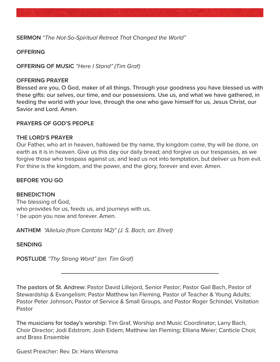**SERMON** *"The Not-So-Spiritual Retreat That Changed the World"*

# **OFFERING**

**OFFERING OF MUSIC** *"Here I Stand" (Tim Graf)*

#### **OFFERING PRAYER**

Blessed are you, O God, maker of all things. Through your goodness you have blessed us with these gifts: our selves, our time, and our possessions. Use us, and what we have gathered, in feeding the world with your love, through the one who gave himself for us, Jesus Christ, our Savior and Lord. Amen.

#### **PRAYERS OF GOD'S PEOPLE**

#### **THE LORD'S PRAYER**

Our Father, who art in heaven, hallowed be thy name, thy kingdom come, thy will be done, on earth as it is in heaven. Give us this day our daily bread; and forgive us our trespasses, as we forgive those who trespass against us; and lead us not into temptation, but deliver us from evil. For thine is the kingdom, and the power, and the glory, forever and ever. Amen.

# **BEFORE YOU GO**

#### **BENEDICTION**

The blessing of God, who provides for us, feeds us, and journeys with us, † be upon you now and forever. Amen.

**ANTHEM** *"Alleluia (from Cantata 142)" (J. S. Bach, arr. Ehret)* 

#### **SENDING**

**POSTLUDE** *"Thy Strong Word" (arr. Tim Graf)*

The pastors of St. Andrew: Pastor David Lillejord, Senior Pastor; Pastor Gail Bach, Pastor of Stewardship & Evangelism; Pastor Matthew Ian Fleming, Pastor of Teacher & Young Adults; Pastor Peter Johnson, Pastor of Service & Small Groups, and Pastor Roger Schindel, Visitation Pastor

The musicians for today's worship: Tim Graf, Worship and Music Coordinator; Larry Bach, Choir Director; Jodi Edstrom; Josh Eidem; Matthew Ian Fleming; Elliana Meier; Canticle Choir, and Brass Ensemble

Guest Preacher: Rev. Dr. Hans Wiersma